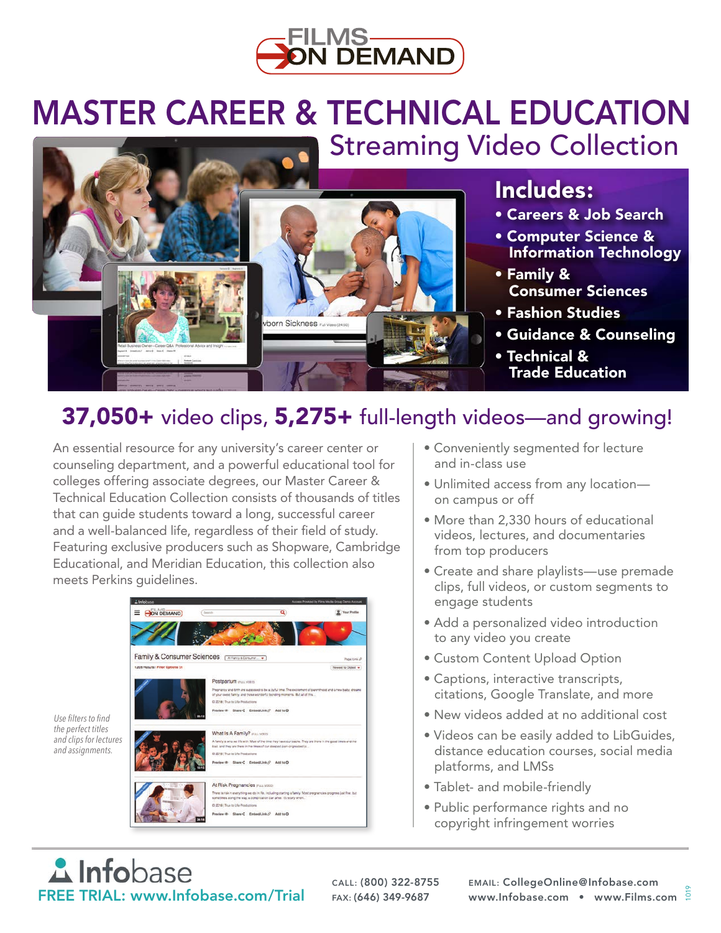

# Streaming Video Collection MASTER CAREER & TECHNICAL EDUCATION



### Includes:

- Careers & Job Search
- Computer Science & Information Technology
- Family & Consumer Sciences
- Fashion Studies
- Guidance & Counseling
- Technical & Trade Education

## 37,050+ video clips, 5,275+ full-length videos—and growing!

An essential resource for any university's career center or counseling department, and a powerful educational tool for colleges offering associate degrees, our Master Career & Technical Education Collection consists of thousands of titles that can guide students toward a long, successful career and a well-balanced life, regardless of their field of study. Featuring exclusive producers such as Shopware, Cambridge Educational, and Meridian Education, this collection also meets Perkins guidelines.



- Conveniently segmented for lecture and in-class use
- Unlimited access from any location on campus or off
- More than 2,330 hours of educational videos, lectures, and documentaries from top producers
- Create and share playlists—use premade clips, full videos, or custom segments to engage students
- Add a personalized video introduction to any video you create
- Custom Content Upload Option
- Captions, interactive transcripts, citations, Google Translate, and more
- New videos added at no additional cost
- Videos can be easily added to LibGuides, distance education courses, social media platforms, and LMSs
- Tablet- and mobile-friendly
- Public performance rights and no copyright infringement worries

**A** Infobase FREE TRIAL: www.Infobase.com/Trial FAX: (646) 349-9687

*Use filters to find the perfect titles* 

*and assignments.*